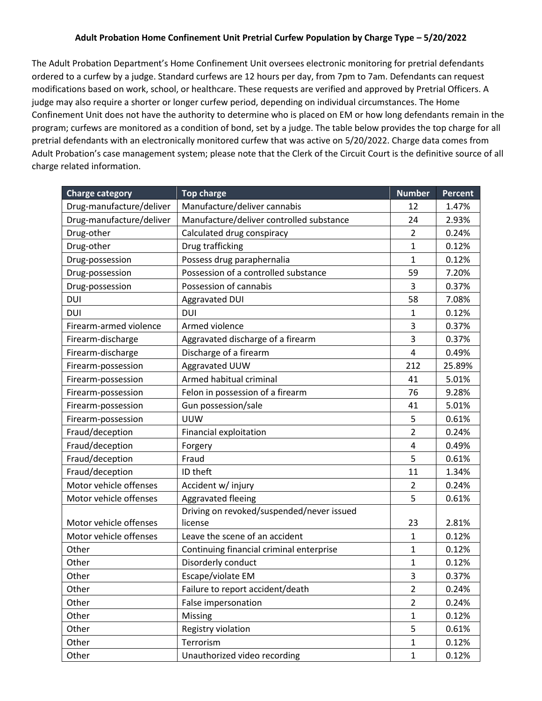## **Adult Probation Home Confinement Unit Pretrial Curfew Population by Charge Type – 5/20/2022**

The Adult Probation Department's Home Confinement Unit oversees electronic monitoring for pretrial defendants ordered to a curfew by a judge. Standard curfews are 12 hours per day, from 7pm to 7am. Defendants can request modifications based on work, school, or healthcare. These requests are verified and approved by Pretrial Officers. A judge may also require a shorter or longer curfew period, depending on individual circumstances. The Home Confinement Unit does not have the authority to determine who is placed on EM or how long defendants remain in the program; curfews are monitored as a condition of bond, set by a judge. The table below provides the top charge for all pretrial defendants with an electronically monitored curfew that was active on 5/20/2022. Charge data comes from Adult Probation's case management system; please note that the Clerk of the Circuit Court is the definitive source of all charge related information.

| <b>Charge category</b>   | <b>Top charge</b>                         | <b>Number</b>  | <b>Percent</b> |
|--------------------------|-------------------------------------------|----------------|----------------|
| Drug-manufacture/deliver | Manufacture/deliver cannabis              | 12             | 1.47%          |
| Drug-manufacture/deliver | Manufacture/deliver controlled substance  | 24             | 2.93%          |
| Drug-other               | Calculated drug conspiracy                | $\overline{2}$ | 0.24%          |
| Drug-other               | Drug trafficking                          | $\mathbf{1}$   | 0.12%          |
| Drug-possession          | Possess drug paraphernalia                | 1              | 0.12%          |
| Drug-possession          | Possession of a controlled substance      | 59             | 7.20%          |
| Drug-possession          | Possession of cannabis                    | 3              | 0.37%          |
| DUI                      | Aggravated DUI                            | 58             | 7.08%          |
| DUI                      | <b>DUI</b>                                | 1              | 0.12%          |
| Firearm-armed violence   | Armed violence                            | 3              | 0.37%          |
| Firearm-discharge        | Aggravated discharge of a firearm         | 3              | 0.37%          |
| Firearm-discharge        | Discharge of a firearm                    | $\overline{4}$ | 0.49%          |
| Firearm-possession       | Aggravated UUW                            | 212            | 25.89%         |
| Firearm-possession       | Armed habitual criminal                   | 41             | 5.01%          |
| Firearm-possession       | Felon in possession of a firearm          | 76             | 9.28%          |
| Firearm-possession       | Gun possession/sale                       | 41             | 5.01%          |
| Firearm-possession       | <b>UUW</b>                                | 5              | 0.61%          |
| Fraud/deception          | Financial exploitation                    | $\overline{2}$ | 0.24%          |
| Fraud/deception          | Forgery                                   | $\overline{4}$ | 0.49%          |
| Fraud/deception          | Fraud                                     | 5              | 0.61%          |
| Fraud/deception          | ID theft                                  | 11             | 1.34%          |
| Motor vehicle offenses   | Accident w/ injury                        | $\overline{2}$ | 0.24%          |
| Motor vehicle offenses   | Aggravated fleeing                        | 5              | 0.61%          |
|                          | Driving on revoked/suspended/never issued |                |                |
| Motor vehicle offenses   | license                                   | 23             | 2.81%          |
| Motor vehicle offenses   | Leave the scene of an accident            | $\mathbf{1}$   | 0.12%          |
| Other                    | Continuing financial criminal enterprise  | 1              | 0.12%          |
| Other                    | Disorderly conduct                        | 1              | 0.12%          |
| Other                    | Escape/violate EM                         | 3              | 0.37%          |
| Other                    | Failure to report accident/death          | $\overline{2}$ | 0.24%          |
| Other                    | False impersonation                       | $\overline{2}$ | 0.24%          |
| Other                    | Missing                                   | $\mathbf 1$    | 0.12%          |
| Other                    | Registry violation                        | 5              | 0.61%          |
| Other                    | Terrorism                                 | $\mathbf 1$    | 0.12%          |
| Other                    | Unauthorized video recording              | $\mathbf 1$    | 0.12%          |